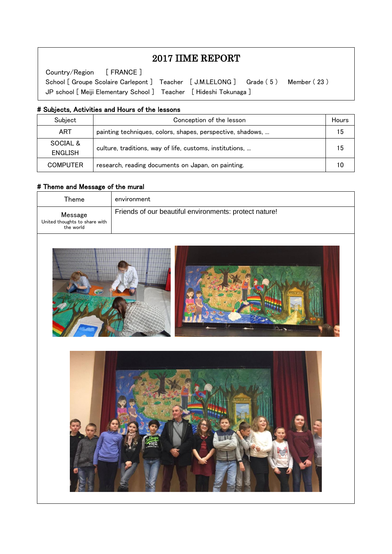# 2017 IIME REPORT

School [ Groupe Scolaire Carlepont ] Teacher [ J.M.LELONG ] Grade (5 ) Member (23 ) Country/Region [ FRANCE ] JP school [ Meiji Elementary School ] Teacher [ Hideshi Tokunaga ]

#### # Subjects, Activities and Hours of the lessons

| Subject         | Conception of the lesson                                   | Hours |
|-----------------|------------------------------------------------------------|-------|
| ART             | painting techniques, colors, shapes, perspective, shadows, | 15    |
| SOCIAL &        | culture, traditions, way of life, customs, institutions,   |       |
| ENGLISH         |                                                            | 15    |
| <b>COMPUTER</b> | research, reading documents on Japan, on painting.         |       |

#### # Theme and Message of the mural

 $\overline{\phantom{a}}$  $\overline{\phantom{a}}$  $\overline{\phantom{a}}$ 

 $\overline{\phantom{a}}$  $\overline{a}$ 

| Theme                                                 | environment                                            |  |  |
|-------------------------------------------------------|--------------------------------------------------------|--|--|
| Message<br>United thoughts to share with<br>the world | Friends of our beautiful environments: protect nature! |  |  |
|                                                       |                                                        |  |  |
|                                                       |                                                        |  |  |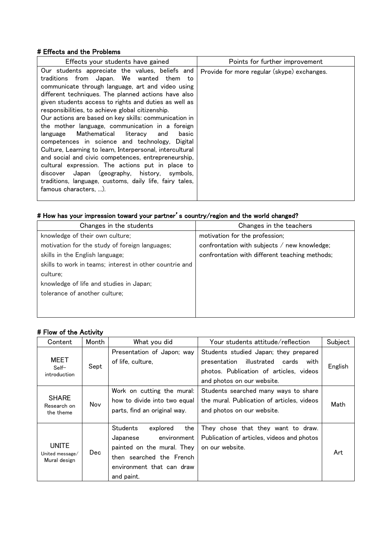#### # Effects and the Problems

| Effects your students have gained                                                                                                                                                                                                                                                                                                                                                                                                                                                                                                                                                                                                                                                                                                                                                                                                                     | Points for further improvement              |
|-------------------------------------------------------------------------------------------------------------------------------------------------------------------------------------------------------------------------------------------------------------------------------------------------------------------------------------------------------------------------------------------------------------------------------------------------------------------------------------------------------------------------------------------------------------------------------------------------------------------------------------------------------------------------------------------------------------------------------------------------------------------------------------------------------------------------------------------------------|---------------------------------------------|
| Our students appreciate the values, beliefs and<br>traditions from Japan. We wanted them to<br>communicate through language, art and video using<br>different techniques. The planned actions have also<br>given students access to rights and duties as well as<br>responsibilities, to achieve global citizenship.<br>Our actions are based on key skills: communication in<br>the mother language, communication in a foreign<br>Mathematical<br>literacv<br>basic<br>language<br>and<br>competences in science and technology, Digital<br>Culture, Learning to learn, Interpersonal, intercultural<br>and social and civic competences, entrepreneurship,<br>cultural expression. The actions put in place to<br>discover Japan (geography, history, symbols,<br>traditions, language, customs, daily life, fairy tales,<br>famous characters. ). | Provide for more regular (skype) exchanges. |

# # How has your impression toward your partner's country/region and the world changed?

| Changes in the students                                 | Changes in the teachers                        |
|---------------------------------------------------------|------------------------------------------------|
| knowledge of their own culture;                         | motivation for the profession;                 |
| motivation for the study of foreign languages;          | confrontation with subjects / new knowledge;   |
| skills in the English language;                         | confrontation with different teaching methods; |
| skills to work in teams; interest in other countrie and |                                                |
| culture:                                                |                                                |
| knowledge of life and studies in Japan;                 |                                                |
| tolerance of another culture;                           |                                                |
|                                                         |                                                |
|                                                         |                                                |

## # Flow of the Activity

| Content                                         | Month | What you did                                                                                                                                                       | Your students attitude/reflection                                                                                                                              | Subject |
|-------------------------------------------------|-------|--------------------------------------------------------------------------------------------------------------------------------------------------------------------|----------------------------------------------------------------------------------------------------------------------------------------------------------------|---------|
| <b>MEET</b><br>$Self-$<br>introduction          | Sept  | Presentation of Japon; way<br>of life, culture,                                                                                                                    | Students studied Japan; they prepared<br>illustrated<br>cards<br>with<br>presentation<br>photos. Publication of articles, videos<br>and photos on our website. | English |
| <b>SHARE</b><br>Research on<br>the theme        | Nov   | Work on cutting the mural:<br>how to divide into two equal<br>parts, find an original way.                                                                         | Students searched many ways to share<br>the mural. Publication of articles, videos<br>and photos on our website.                                               | Math    |
| <b>UNITE</b><br>United message/<br>Mural design | Dec.  | <b>Students</b><br>explored<br>the<br>environment<br>Japanese<br>painted on the mural. They<br>then searched the French<br>environment that can draw<br>and paint. | They chose that they want to draw.<br>Publication of articles, videos and photos<br>on our website.                                                            | Art     |